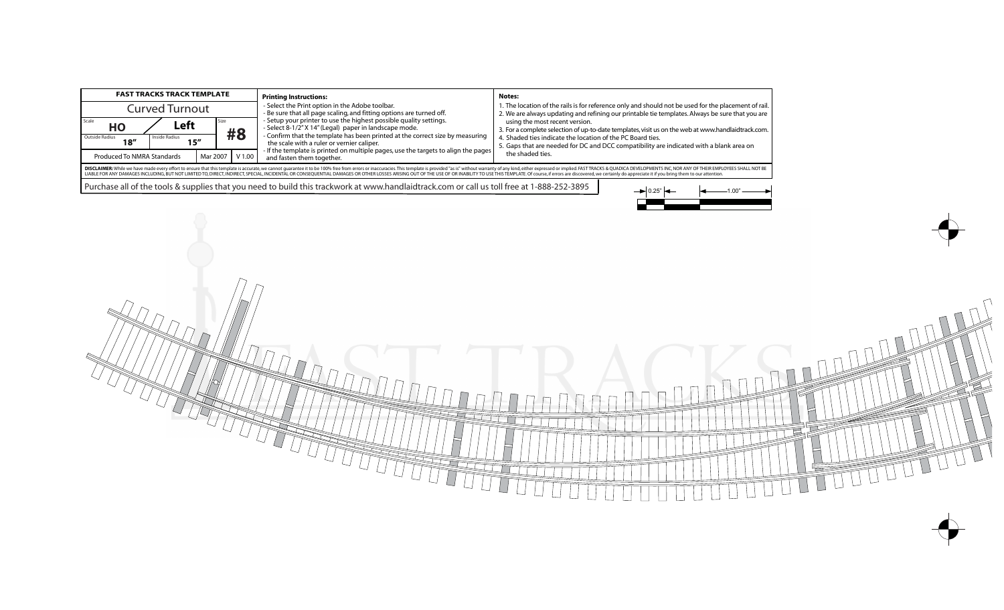